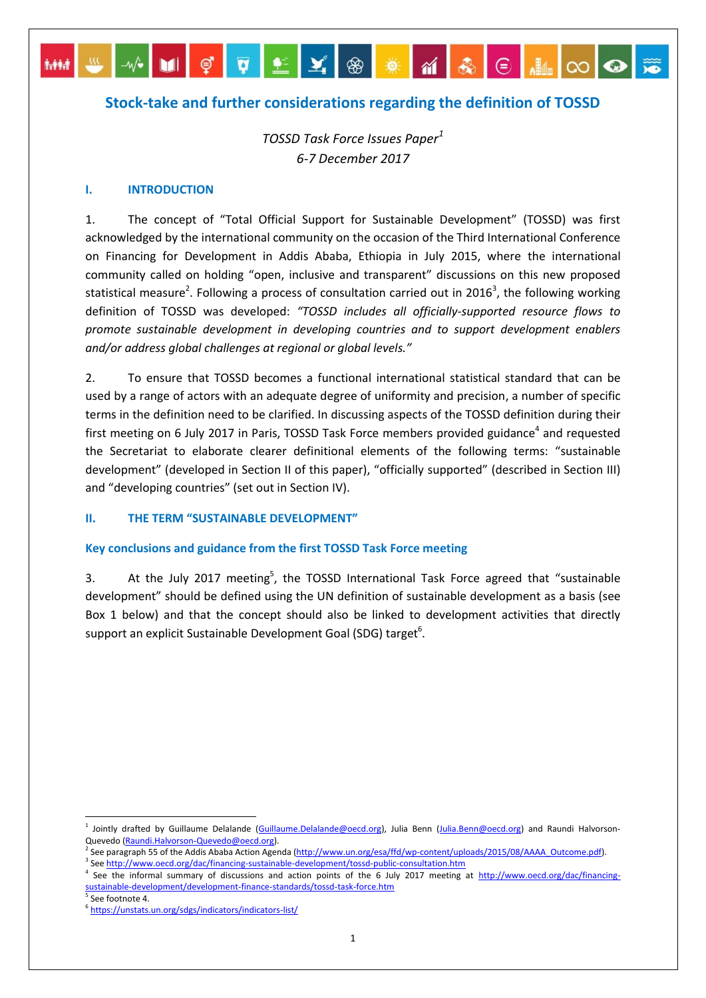# **Stock-take and further considerations regarding the definition of TOSSD**

MPIÇQQXQXMBEMBOQ

*TOSSD Task Force Issues Paper<sup>1</sup> 6-7 December 2017*

#### **I. INTRODUCTION**

 $$ 

1. The concept of "Total Official Support for Sustainable Development" (TOSSD) was first acknowledged by the international community on the occasion of the Third International Conference on Financing for Development in Addis Ababa, Ethiopia in July 2015, where the international community called on holding "open, inclusive and transparent" discussions on this new proposed statistical measure<sup>2</sup>. Following a process of consultation carried out in 2016<sup>3</sup>, the following working definition of TOSSD was developed: *"TOSSD includes all officially-supported resource flows to promote sustainable development in developing countries and to support development enablers and/or address global challenges at regional or global levels."*

2. To ensure that TOSSD becomes a functional international statistical standard that can be used by a range of actors with an adequate degree of uniformity and precision, a number of specific terms in the definition need to be clarified. In discussing aspects of the TOSSD definition during their first meeting on 6 July 2017 in Paris, TOSSD Task Force members provided guidance<sup>4</sup> and requested the Secretariat to elaborate clearer definitional elements of the following terms: "sustainable development" (developed in Section II of this paper), "officially supported" (described in Section III) and "developing countries" (set out in Section IV).

#### **II. THE TERM "SUSTAINABLE DEVELOPMENT"**

#### **Key conclusions and guidance from the first TOSSD Task Force meeting**

3. At the July 2017 meeting<sup>5</sup>, the TOSSD International Task Force agreed that "sustainable development" should be defined using the UN definition of sustainable development as a basis (see Box 1 below) and that the concept should also be linked to development activities that directly support an explicit Sustainable Development Goal (SDG) target<sup>6</sup>.

<sup>1</sup> Jointly drafted by Guillaume Delalande [\(Guillaume.Delalande@oecd.org\)](mailto:Guillaume.Delalande@oecd.org), Julia Benn [\(Julia.Benn@oecd.org\)](mailto:Julia.Benn@oecd.org) and Raundi Halvorson-Quevedo [\(Raundi.Halvorson-Quevedo@oecd.org\)](mailto:Raundi.Halvorson-Quevedo@oecd.org).

<sup>&</sup>lt;sup>2</sup> See paragraph 55 of the Addis Ababa Action Agenda [\(http://www.un.org/esa/ffd/wp-content/uploads/2015/08/AAAA\\_Outcome.pdf\).](http://www.un.org/esa/ffd/wp-content/uploads/2015/08/AAAA_Outcome.pdf) <sup>3</sup> Se[e http://www.oecd.org/dac/financing-sustainable-development/tossd-public-consultation.htm](http://www.oecd.org/dac/financing-sustainable-development/tossd-public-consultation.htm)

<sup>&</sup>lt;sup>4</sup> See the informal summary of discussions and action points of the 6 July 2017 meeting at [http://www.oecd.org/dac/financing](http://www.oecd.org/dac/financing-sustainable-development/development-finance-standards/tossd-task-force.htm)[sustainable-development/development-finance-standards/tossd-task-force.htm](http://www.oecd.org/dac/financing-sustainable-development/development-finance-standards/tossd-task-force.htm)

<sup>5</sup> Se[e footn](http://www.oecd.org/dac/financing-sustainable-development/development-finance-standards/tossd-task-force.htmm)ote 4.

<sup>6</sup> <https://unstats.un.org/sdgs/indicators/indicators-list/>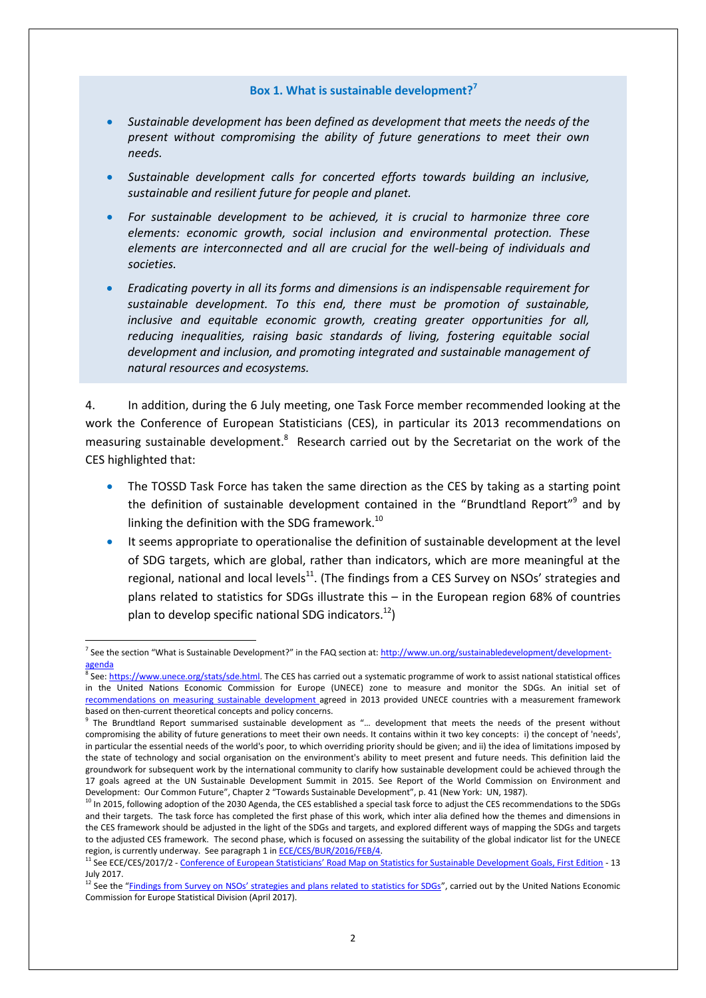#### **Box 1. What is sustainable development?<sup>7</sup>**

- *Sustainable development has been defined as development that meets the needs of the present without compromising the ability of future generations to meet their own needs.*
- *Sustainable development calls for concerted efforts towards building an inclusive, sustainable and resilient future for people and planet.*
- *For sustainable development to be achieved, it is crucial to harmonize three core elements: economic growth, social inclusion and environmental protection. These elements are interconnected and all are crucial for the well-being of individuals and societies.*
- *Eradicating poverty in all its forms and dimensions is an indispensable requirement for sustainable development. To this end, there must be promotion of sustainable, inclusive and equitable economic growth, creating greater opportunities for all, reducing inequalities, raising basic standards of living, fostering equitable social development and inclusion, and promoting integrated and sustainable management of natural resources and ecosystems.*

4. In addition, during the 6 July meeting, one Task Force member recommended looking at the work the Conference of European Statisticians (CES), in particular its 2013 [recommendations on](https://www.unece.org/fileadmin/DAM/stats/publications/2013/CES_SD_web.pdf)  [measuring sustainable development.](https://www.unece.org/fileadmin/DAM/stats/publications/2013/CES_SD_web.pdf)<sup>8</sup> Research carried out by the Secretariat on the work of the CES highlighted that:

- The TOSSD Task Force has taken the same direction as the CES by taking as a starting point the definition of sustainable development contained in the "Brundtland Report"<sup>9</sup> and by linking the definition with the SDG framework.<sup>10</sup>
- It seems appropriate to operationalise the definition of sustainable development at the level of SDG targets, which are global, rather than indicators, which are more meaningful at the regional, national and local levels<sup>11</sup>. (The findings from a CES Survey on NSOs' strategies and plans related to statistics for SDGs illustrate this – in the European region 68% of countries plan to develop specific national SDG indicators.<sup>12</sup>)

<sup>&</sup>lt;sup>7</sup> See the section "What is Sustainable Development?" in the FAQ section at: [http://www.un.org/sustainabledevelopment/development](http://www.un.org/sustainabledevelopment/development-agenda)[agenda](http://www.un.org/sustainabledevelopment/development-agenda)

<sup>&</sup>lt;sup>8</sup> See[: https://www.unece.org/stats/sde.html.](https://www.unece.org/stats/sde.html) The CES has carried out a systematic programme of work to assist national statistical offices in the United Nations Economic Commission for Europe (UNECE) zone to measure and monitor the SDGs. An initial set of [recommendations on measuring](https://www.unece.org/fileadmin/DAM/stats/publications/2013/CES_SD_web.pdf) sustainable development agreed in 2013 provided UNECE countries with a measurement framework based on then-current theoretical concepts and policy concerns.

<sup>9</sup> The Brundtland Report summarised sustainable development as "… development that meets the needs of the present without compromising the ability of future generations to meet their own needs. It contains within it two key concepts: i) the concept of 'needs', in particular the essential needs of the world's poor, to which overriding priority should be given; and ii) the idea of limitations imposed by the state of technology and social organisation on the environment's ability to meet present and future needs. This definition laid the groundwork for subsequent work by the international community to clarify how sustainable development could be achieved through the 17 goals agreed at the UN Sustainable Development Summit in 2015. See Report of the World Commission on Environment and Development: Our Common Future", Chapter 2 "Towards Sustainable Development", p. 41 (New York: UN, 1987).

 $10$  In 2015, following adoption of the 2030 Agenda, the CES established a special task force to adjust the CES recommendations to the SDGs and their targets. The task force has completed the first phase of this work, which inter alia defined how the themes and dimensions in the CES framework should be adjusted in the light of the SDGs and targets, and explored different ways of mapping the SDGs and targets to the adjusted CES framework. The second phase, which is focused on assessing the suitability of the global indicator list for the UNECE region, is currently underway. See paragraph 1 in **ECE/CES/BUR/2016/FEB/4**.

<sup>&</sup>lt;sup>11</sup> See ECE/CES/2017/2 - [Conference of European Statisticians' Road Map on Statistics for Sustainable Development Goals, First Edition](https://www.unece.org/fileadmin/DAM/stats/documents/ece/ces/2017/CES_Road_Map_for_SDGs_First_Edition_final.pdf) - 13 July 2017.

<sup>&</sup>lt;sup>12</sup> See the ["Findings from Survey on NSOs' strategies and plans related to statistics for SDGs"](https://www.unece.org/fileadmin/DAM/stats/documents/ece/ces/ge.32/2017/mtg1/PDF/EN_EM_1C1-UNECE-Results_of_Survey_on_NSOs.pdf), carried out by the United Nations Economic Commission for Europe Statistical Division (April 2017).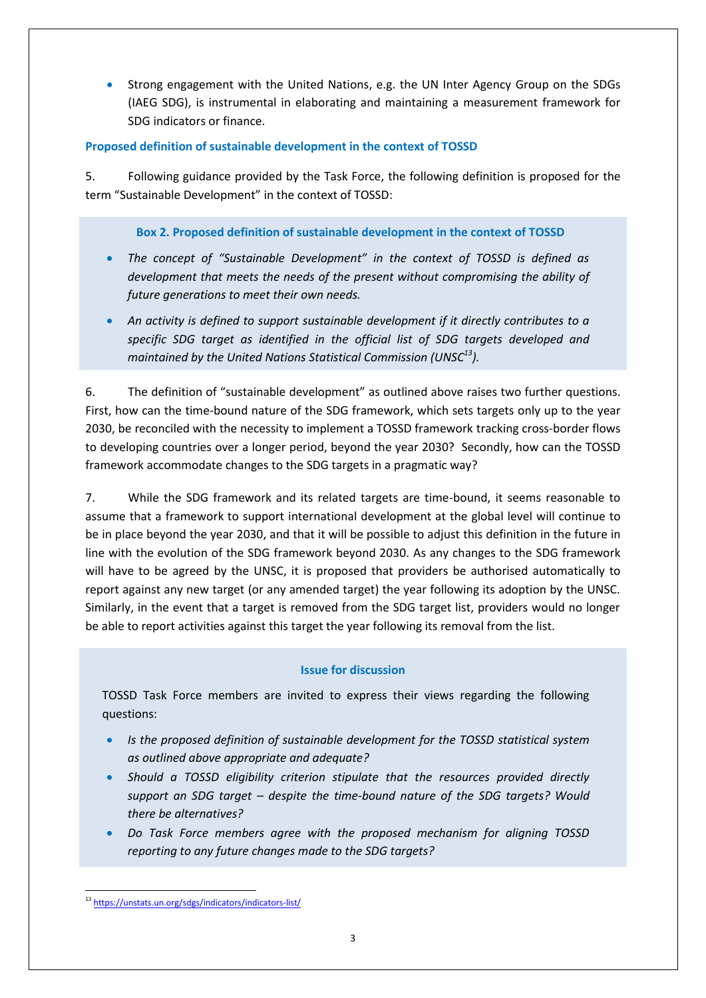Strong engagement with the United Nations, e.g. the UN Inter Agency Group on the SDGs (IAEG SDG), is instrumental in elaborating and maintaining a measurement framework for SDG indicators or finance.

# **Proposed definition of sustainable development in the context of TOSSD**

5. Following guidance provided by the Task Force, the following definition is proposed for the term "Sustainable Development" in the context of TOSSD:

# **Box 2. Proposed definition of sustainable development in the context of TOSSD**

- *The concept of "Sustainable Development" in the context of TOSSD is defined as development that meets the needs of the present without compromising the ability of future generations to meet their own needs.*
- *An activity is defined to support sustainable development if it directly contributes to a specific SDG target as identified in the official list of SDG targets developed and maintained by the United Nations Statistical Commission (UNSC<sup>13</sup>).*

6. The definition of "sustainable development" as outlined above raises two further questions. First, how can the time-bound nature of the SDG framework, which sets targets only up to the year 2030, be reconciled with the necessity to implement a TOSSD framework tracking cross-border flows to developing countries over a longer period, beyond the year 2030? Secondly, how can the TOSSD framework accommodate changes to the SDG targets in a pragmatic way?

7. While the SDG framework and its related targets are time-bound, it seems reasonable to assume that a framework to support international development at the global level will continue to be in place beyond the year 2030, and that it will be possible to adjust this definition in the future in line with the evolution of the SDG framework beyond 2030. As any changes to the SDG framework will have to be agreed by the UNSC, it is proposed that providers be authorised automatically to report against any new target (or any amended target) the year following its adoption by the UNSC. Similarly, in the event that a target is removed from the SDG target list, providers would no longer be able to report activities against this target the year following its removal from the list.

# **Issue for discussion**

TOSSD Task Force members are invited to express their views regarding the following questions:

- *Is the proposed definition of sustainable development for the TOSSD statistical system as outlined above appropriate and adequate?*
- *Should a TOSSD eligibility criterion stipulate that the resources provided directly support an SDG target – despite the time-bound nature of the SDG targets? Would there be alternatives?*
- *Do Task Force members agree with the proposed mechanism for aligning TOSSD reporting to any future changes made to the SDG targets?*

<sup>1</sup> <sup>13</sup> <https://unstats.un.org/sdgs/indicators/indicators-list/>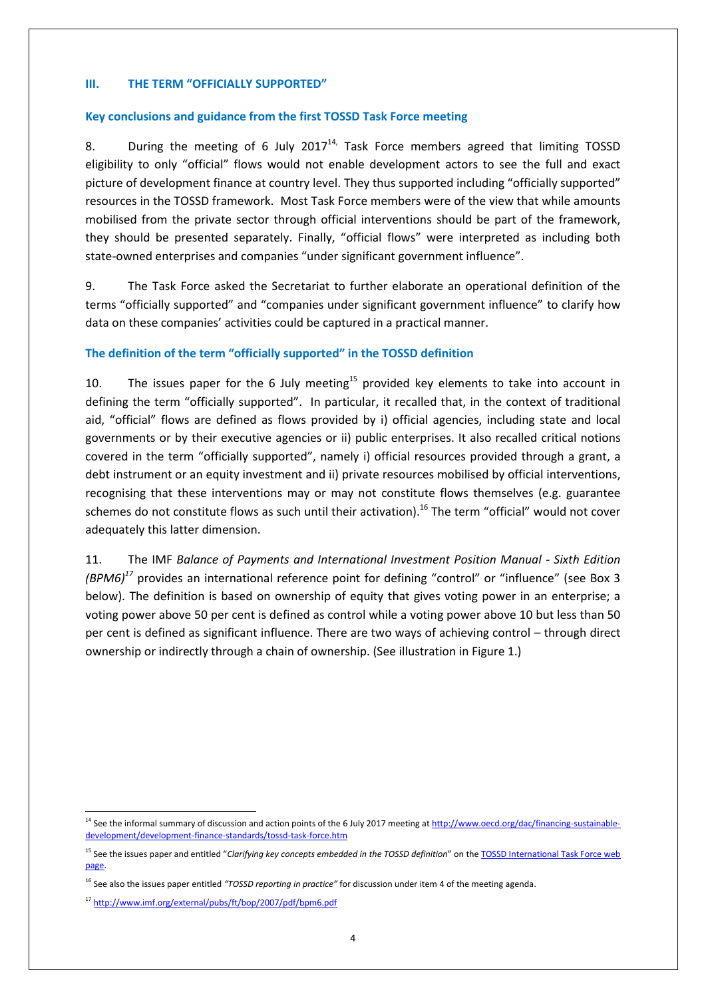### **III. THE TERM "OFFICIALLY SUPPORTED"**

#### **Key conclusions and guidance from the first TOSSD Task Force meeting**

8. During the meeting of 6 July  $2017^{14}$ , Task Force members agreed that limiting TOSSD eligibility to only "official" flows would not enable development actors to see the full and exact picture of development finance at country level. They thus supported including "officially supported" resources in the TOSSD framework. Most Task Force members were of the view that while amounts mobilised from the private sector through official interventions should be part of the framework, they should be presented separately. Finally, "official flows" were interpreted as including both state-owned enterprises and companies "under significant government influence".

9. The Task Force asked the Secretariat to further elaborate an operational definition of the terms "officially supported" and "companies under significant government influence" to clarify how data on these companies' activities could be captured in a practical manner.

#### **The definition of the term "officially supported" in the TOSSD definition**

10. The issues paper for the 6 July meeting<sup>15</sup> provided key elements to take into account in defining the term "officially supported". In particular, it recalled that, in the context of traditional aid, "official" flows are defined as flows provided by i) official agencies, including state and local governments or by their executive agencies or ii) public enterprises. It also recalled critical notions covered in the term "officially supported", namely i) official resources provided through a grant, a debt instrument or an equity investment and ii) private resources mobilised by official interventions, recognising that these interventions may or may not constitute flows themselves (e.g. guarantee schemes do not constitute flows as such until their activation). <sup>16</sup> The term "official" would not cover adequately this latter dimension.

11. The IMF *Balance of Payments and International Investment Position Manual - Sixth Edition (BPM6)<sup>17</sup>* provides an international reference point for defining "control" or "influence" (see Box 3 below). The definition is based on ownership of equity that gives voting power in an enterprise; a voting power above 50 per cent is defined as control while a voting power above 10 but less than 50 per cent is defined as significant influence. There are two ways of achieving control – through direct ownership or indirectly through a chain of ownership. (See illustration in Figure 1.)

<sup>&</sup>lt;sup>14</sup> See the informal summary of discussion and action points of the 6 July 2017 meeting a[t http://www.oecd.org/dac/financing-sustainable](http://www.oecd.org/dac/financing-sustainable-development/development-finance-standards/tossd-task-force.htm)[development/development-finance-standards/tossd-task-force.htm](http://www.oecd.org/dac/financing-sustainable-development/development-finance-standards/tossd-task-force.htm)

<sup>&</sup>lt;sup>15</sup> See the issues paper and entitled "*Clarifying key concepts embedded in the TOSSD definition*" on the **TOSSD International Task Force web** [page.](http://www.oecd.org/dac/financing-sustainable-development/development-finance-standards/tossd-task-force.htm)

<sup>&</sup>lt;sup>16</sup> See also the issues paper entitled "TOSSD reporting in practice" for discussion under item 4 of the meeting agenda.

<sup>17</sup> <http://www.imf.org/external/pubs/ft/bop/2007/pdf/bpm6.pdf>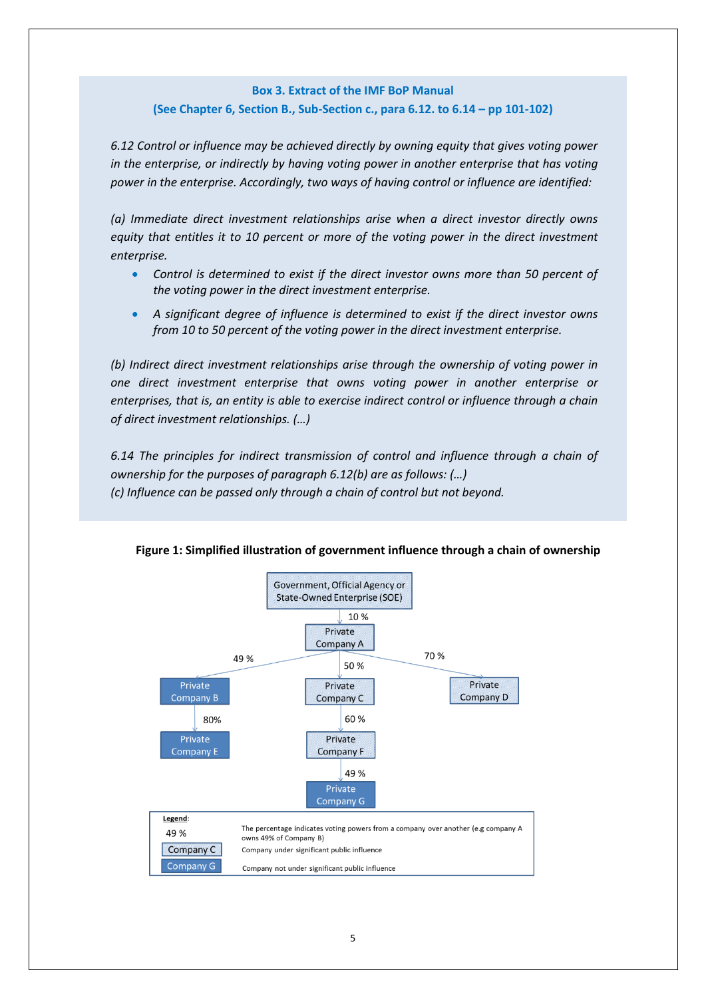# **Box 3. Extract of the IMF BoP Manual (See Chapter 6, Section B., Sub-Section c., para 6.12. to 6.14 – pp 101-102)**

*6.12 Control or influence may be achieved directly by owning equity that gives voting power in the enterprise, or indirectly by having voting power in another enterprise that has voting power in the enterprise. Accordingly, two ways of having control or influence are identified:* 

*(a) Immediate direct investment relationships arise when a direct investor directly owns equity that entitles it to 10 percent or more of the voting power in the direct investment enterprise.* 

- *Control is determined to exist if the direct investor owns more than 50 percent of the voting power in the direct investment enterprise.*
- *A significant degree of influence is determined to exist if the direct investor owns from 10 to 50 percent of the voting power in the direct investment enterprise.*

*(b) Indirect direct investment relationships arise through the ownership of voting power in one direct investment enterprise that owns voting power in another enterprise or enterprises, that is, an entity is able to exercise indirect control or influence through a chain of direct investment relationships. (…)*

*6.14 The principles for indirect transmission of control and influence through a chain of ownership for the purposes of paragraph 6.12(b) are as follows: (…) (c) Influence can be passed only through a chain of control but not beyond.*



**Figure 1: Simplified illustration of government influence through a chain of ownership**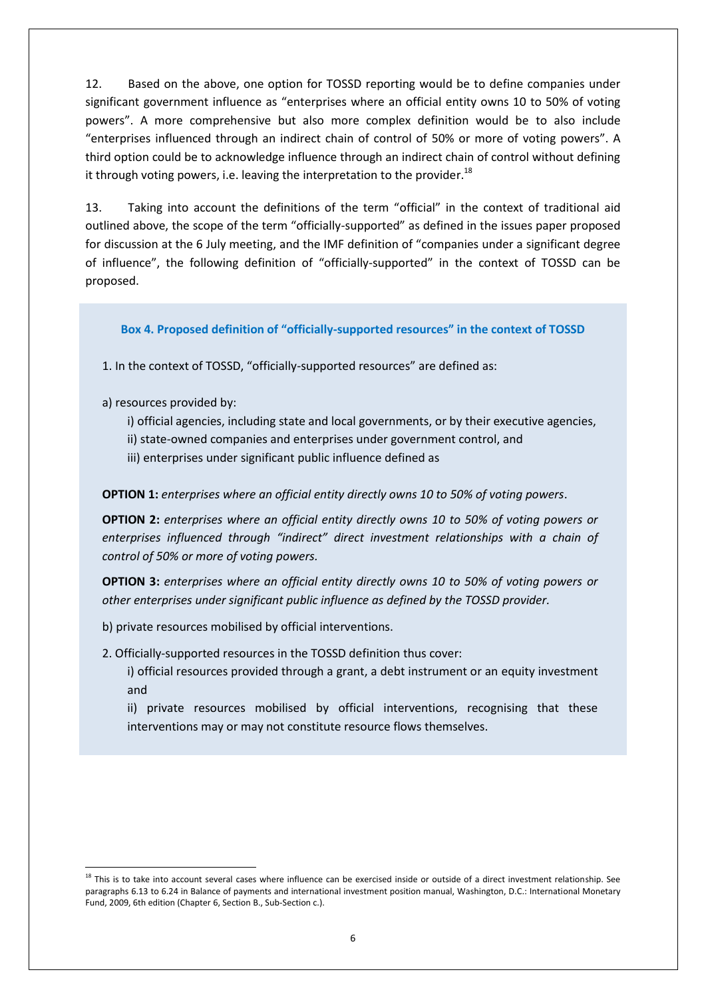12. Based on the above, one option for TOSSD reporting would be to define companies under significant government influence as "enterprises where an official entity owns 10 to 50% of voting powers". A more comprehensive but also more complex definition would be to also include "enterprises influenced through an indirect chain of control of 50% or more of voting powers". A third option could be to acknowledge influence through an indirect chain of control without defining it through voting powers, i.e. leaving the interpretation to the provider.<sup>18</sup>

13. Taking into account the definitions of the term "official" in the context of traditional aid outlined above, the scope of the term "officially-supported" as defined in the issues paper proposed for discussion at the 6 July meeting, and the IMF definition of "companies under a significant degree of influence", the following definition of "officially-supported" in the context of TOSSD can be proposed.

### **Box 4. Proposed definition of "officially-supported resources" in the context of TOSSD**

1. In the context of TOSSD, "officially-supported resources" are defined as:

a) resources provided by:

**.** 

- i) official agencies, including state and local governments, or by their executive agencies,
- ii) state-owned companies and enterprises under government control, and
- iii) enterprises under significant public influence defined as

### **OPTION 1:** *enterprises where an official entity directly owns 10 to 50% of voting powers*.

**OPTION 2:** *enterprises where an official entity directly owns 10 to 50% of voting powers or enterprises influenced through "indirect" direct investment relationships with a chain of control of 50% or more of voting powers.*

**OPTION 3:** *enterprises where an official entity directly owns 10 to 50% of voting powers or other enterprises under significant public influence as defined by the TOSSD provider.*

- b) private resources mobilised by official interventions.
- 2. Officially-supported resources in the TOSSD definition thus cover:

i) official resources provided through a grant, a debt instrument or an equity investment and

ii) private resources mobilised by official interventions, recognising that these interventions may or may not constitute resource flows themselves.

 $18$  This is to take into account several cases where influence can be exercised inside or outside of a direct investment relationship. See paragraphs 6.13 to 6.24 in Balance of payments and international investment position manual, Washington, D.C.: International Monetary Fund, 2009, 6th edition (Chapter 6, Section B., Sub-Section c.).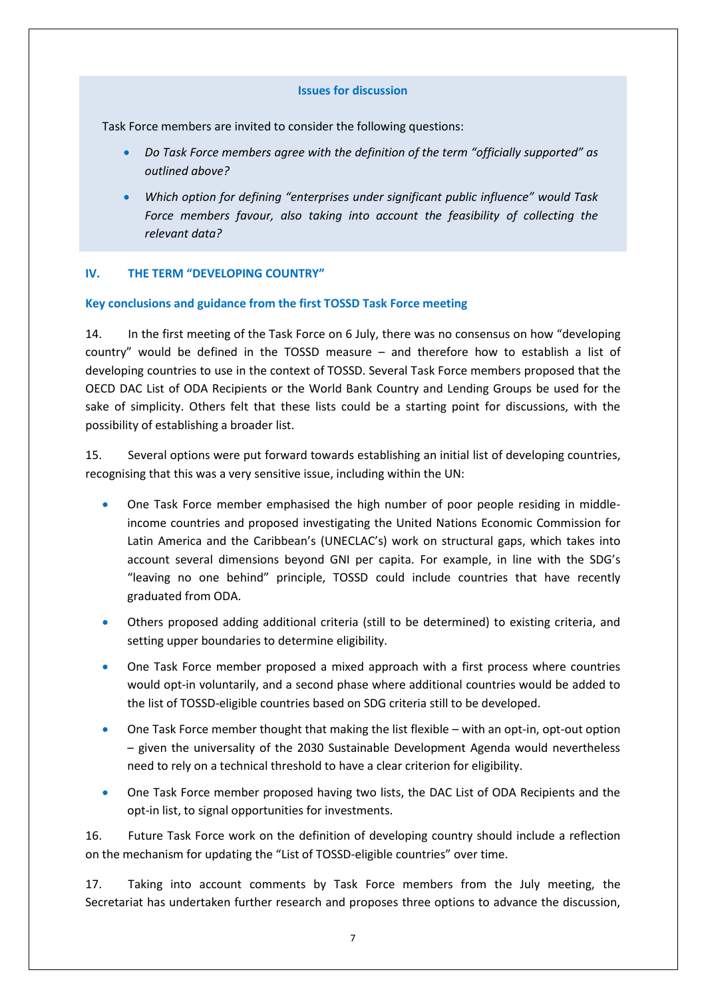#### **Issues for discussion**

Task Force members are invited to consider the following questions:

- *Do Task Force members agree with the definition of the term "officially supported" as outlined above?*
- *Which option for defining "enterprises under significant public influence" would Task Force members favour, also taking into account the feasibility of collecting the relevant data?*

### **IV. THE TERM "DEVELOPING COUNTRY"**

### **Key conclusions and guidance from the first TOSSD Task Force meeting**

14. In the first meeting of the Task Force on 6 July, there was no consensus on how "developing country" would be defined in the TOSSD measure – and therefore how to establish a list of developing countries to use in the context of TOSSD. Several Task Force members proposed that the OECD DAC List of ODA Recipients or the World Bank Country and Lending Groups be used for the sake of simplicity. Others felt that these lists could be a starting point for discussions, with the possibility of establishing a broader list.

15. Several options were put forward towards establishing an initial list of developing countries, recognising that this was a very sensitive issue, including within the UN:

- One Task Force member emphasised the high number of poor people residing in middleincome countries and proposed investigating the United Nations Economic Commission for Latin America and the Caribbean's (UNECLAC's) work on structural gaps, which takes into account several dimensions beyond GNI per capita. For example, in line with the SDG's "leaving no one behind" principle, TOSSD could include countries that have recently graduated from ODA.
- Others proposed adding additional criteria (still to be determined) to existing criteria, and setting upper boundaries to determine eligibility.
- One Task Force member proposed a mixed approach with a first process where countries would opt-in voluntarily, and a second phase where additional countries would be added to the list of TOSSD-eligible countries based on SDG criteria still to be developed.
- One Task Force member thought that making the list flexible with an opt-in, opt-out option – given the universality of the 2030 Sustainable Development Agenda would nevertheless need to rely on a technical threshold to have a clear criterion for eligibility.
- One Task Force member proposed having two lists, the DAC List of ODA Recipients and the opt-in list, to signal opportunities for investments.

16. Future Task Force work on the definition of developing country should include a reflection on the mechanism for updating the "List of TOSSD-eligible countries" over time.

17. Taking into account comments by Task Force members from the July meeting, the Secretariat has undertaken further research and proposes three options to advance the discussion,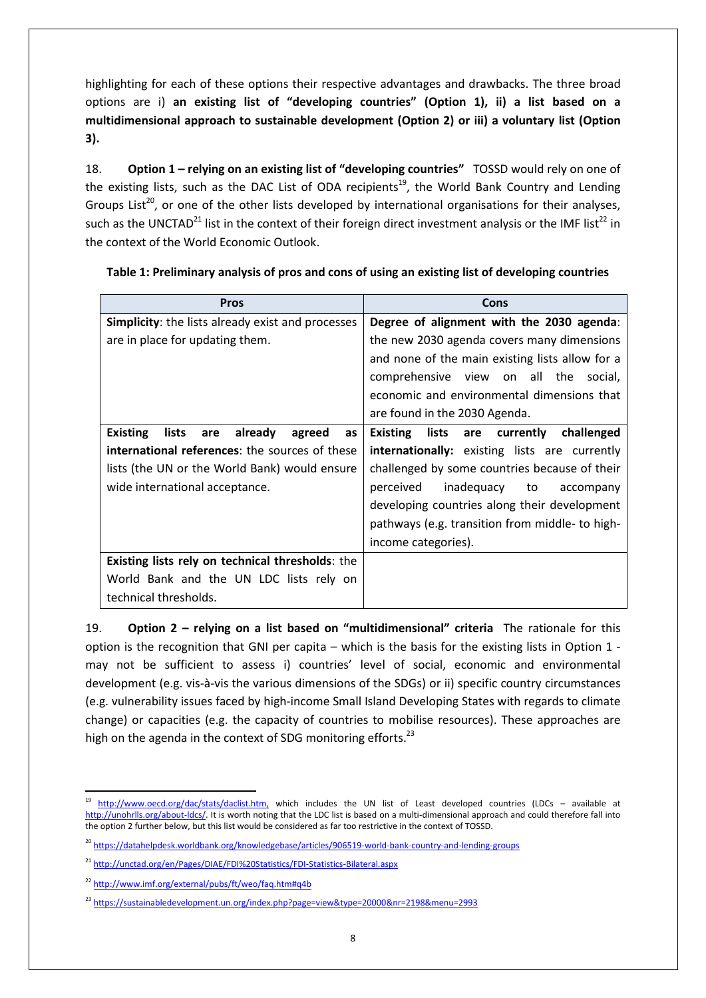highlighting for each of these options their respective advantages and drawbacks. The three broad options are i) **an existing list of "developing countries" (Option 1), ii) a list based on a multidimensional approach to sustainable development (Option 2) or iii) a voluntary list (Option 3).** 

18. **Option 1 – relying on an existing list of "developing countries"** TOSSD would rely on one of the existing lists, such as the DAC List of ODA recipients<sup>19</sup>, the World Bank Country and Lending Groups List<sup>20</sup>, or one of the other lists developed by international organisations for their analyses, such as the UNCTAD<sup>21</sup> list in the context of their foreign direct investment analysis or the IMF list<sup>22</sup> in the context of the World Economic Outlook.

| <b>Pros</b>                                                | <b>Cons</b>                                             |
|------------------------------------------------------------|---------------------------------------------------------|
| Simplicity: the lists already exist and processes          | Degree of alignment with the 2030 agenda:               |
| are in place for updating them.                            | the new 2030 agenda covers many dimensions              |
|                                                            | and none of the main existing lists allow for a         |
|                                                            | comprehensive view on all the social,                   |
|                                                            | economic and environmental dimensions that              |
|                                                            | are found in the 2030 Agenda.                           |
| <b>Existing</b><br>lists<br>already<br>agreed<br>are<br>as | lists<br>are currently<br><b>Existing</b><br>challenged |
| <b>international references:</b> the sources of these      | <b>internationally:</b> existing lists are currently    |
| lists (the UN or the World Bank) would ensure              | challenged by some countries because of their           |
| wide international acceptance.                             | perceived<br>inadequacy to<br>accompany                 |
|                                                            | developing countries along their development            |
|                                                            | pathways (e.g. transition from middle- to high-         |
|                                                            | income categories).                                     |
| Existing lists rely on technical thresholds: the           |                                                         |
| World Bank and the UN LDC lists rely on                    |                                                         |
| technical thresholds.                                      |                                                         |

# **Table 1: Preliminary analysis of pros and cons of using an existing list of developing countries**

19. **Option 2 – relying on a list based on "multidimensional" criteria** The rationale for this option is the recognition that GNI per capita – which is the basis for the existing lists in Option 1 may not be sufficient to assess i) countries' level of social, economic and environmental development (e.g. vis-à-vis the various dimensions of the SDGs) or ii) specific country circumstances (e.g. vulnerability issues faced by high-income Small Island Developing States with regards to climate change) or capacities (e.g. the capacity of countries to mobilise resources). These approaches are high on the agenda in the context of SDG monitoring efforts.<sup>23</sup>

**<sup>.</sup>** <sup>19</sup> [http://www.oecd.org/dac/stats/daclist.htm,](http://www.oecd.org/dac/stats/daclist.htm) which includes the UN list of Least developed countries (LDCs – available at [http://unohrlls.org/about-ldcs/.](http://unohrlls.org/about-ldcs/) It is worth noting that the LDC list is based on a multi-dimensional approach and could therefore fall into the option 2 further below, but this list would be considered as far too restrictive in the context of TOSSD.

<sup>&</sup>lt;sup>20</sup> <https://datahelpdesk.worldbank.org/knowledgebase/articles/906519-world-bank-country-and-lending-groups>

<sup>21</sup> <http://unctad.org/en/Pages/DIAE/FDI%20Statistics/FDI-Statistics-Bilateral.aspx>

<sup>22</sup> <http://www.imf.org/external/pubs/ft/weo/faq.htm#q4b>

<sup>23</sup> <https://sustainabledevelopment.un.org/index.php?page=view&type=20000&nr=2198&menu=2993>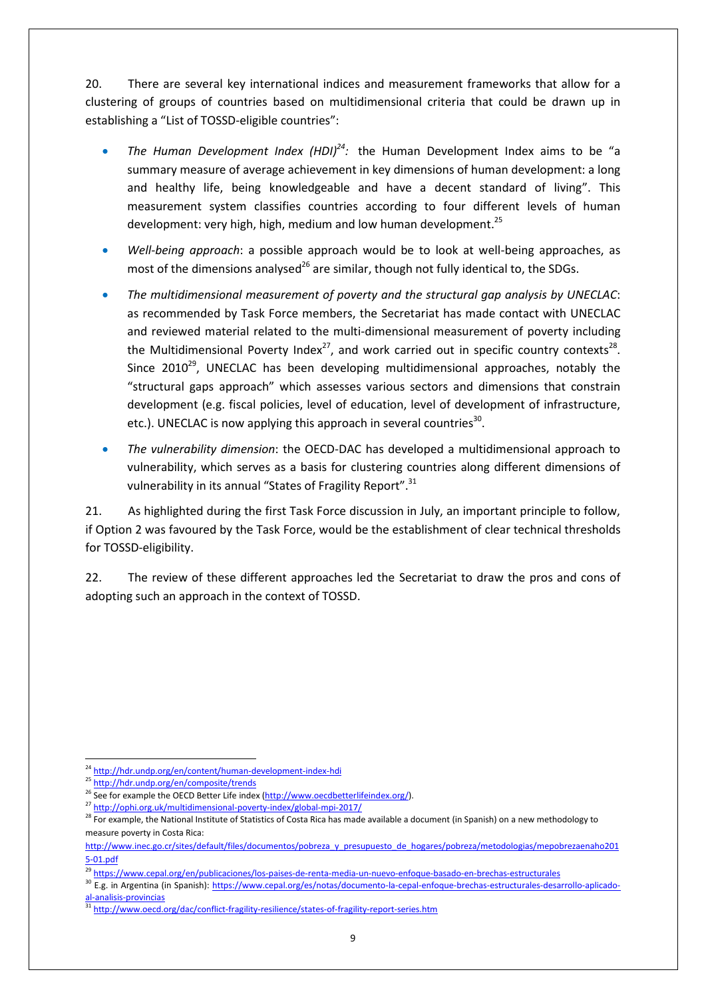20. There are several key international indices and measurement frameworks that allow for a clustering of groups of countries based on multidimensional criteria that could be drawn up in establishing a "List of TOSSD-eligible countries":

- The Human Development Index (HDI)<sup>24</sup>: the Human Development Index aims to be "a summary measure of average achievement in key dimensions of human development: a long and healthy life, being knowledgeable and have a decent standard of living". This measurement system classifies countries according to four different levels of human development: very high, high, medium and low human development.<sup>25</sup>
- *Well-being approach*: a possible approach would be to look at well-being approaches, as most of the dimensions analysed<sup>26</sup> are similar, though not fully identical to, the SDGs.
- *The multidimensional measurement of poverty and the structural gap analysis by UNECLAC*: as recommended by Task Force members, the Secretariat has made contact with UNECLAC and reviewed material related to the multi-dimensional measurement of poverty including the Multidimensional Poverty Index<sup>27</sup>, and work carried out in specific country contexts<sup>28</sup>. Since 2010<sup>29</sup>, UNECLAC has been developing multidimensional approaches, notably the "structural gaps approach" which assesses various sectors and dimensions that constrain development (e.g. fiscal policies, level of education, level of development of infrastructure, etc.). UNECLAC is now applying this approach in several countries<sup>30</sup>.
- *The vulnerability dimension*: the OECD-DAC has developed a multidimensional approach to vulnerability, which serves as a basis for clustering countries along different dimensions of vulnerability in its annual "States of Fragility Report".<sup>31</sup>

21. As highlighted during the first Task Force discussion in July, an important principle to follow, if Option 2 was favoured by the Task Force, would be the establishment of clear technical thresholds for TOSSD-eligibility.

22. The review of these different approaches led the Secretariat to draw the pros and cons of adopting such an approach in the context of TOSSD.

<sup>1</sup> <sup>24</sup> <http://hdr.undp.org/en/content/human-development-index-hdi>

<sup>&</sup>lt;sup>25</sup> <http://hdr.undp.org/en/composite/trends>

<sup>&</sup>lt;sup>26</sup> See for example the OECD Better Life index [\(http://www.oecdbetterlifeindex.org/\)](http://www.oecdbetterlifeindex.org/).

<sup>27</sup> <http://ophi.org.uk/multidimensional-poverty-index/global-mpi-2017/>

<sup>&</sup>lt;sup>28</sup> For example, the National Institute of Statistics of Costa Rica has made available a document (in Spanish) on a new methodology to measure poverty in Costa Rica:

[http://www.inec.go.cr/sites/default/files/documentos/pobreza\\_y\\_presupuesto\\_de\\_hogares/pobreza/metodologias/mepobrezaenaho201](http://www.inec.go.cr/sites/default/files/documentos/pobreza_y_presupuesto_de_hogares/pobreza/metodologias/mepobrezaenaho2015-01.pdf) [5-01.pdf](http://www.inec.go.cr/sites/default/files/documentos/pobreza_y_presupuesto_de_hogares/pobreza/metodologias/mepobrezaenaho2015-01.pdf)

<sup>&</sup>lt;sup>29</sup> <https://www.cepal.org/en/publicaciones/los-paises-de-renta-media-un-nuevo-enfoque-basado-en-brechas-estructurales>

<sup>30</sup> E.g. in Argentina (in Spanish): [https://www.cepal.org/es/notas/documento-la-cepal-enfoque-brechas-estructurales-desarrollo-aplicado](https://www.cepal.org/es/notas/documento-la-cepal-enfoque-brechas-estructurales-desarrollo-aplicado-al-analisis-provincias)[al-analisis-provincias](https://www.cepal.org/es/notas/documento-la-cepal-enfoque-brechas-estructurales-desarrollo-aplicado-al-analisis-provincias)

<sup>31</sup> <http://www.oecd.org/dac/conflict-fragility-resilience/states-of-fragility-report-series.htm>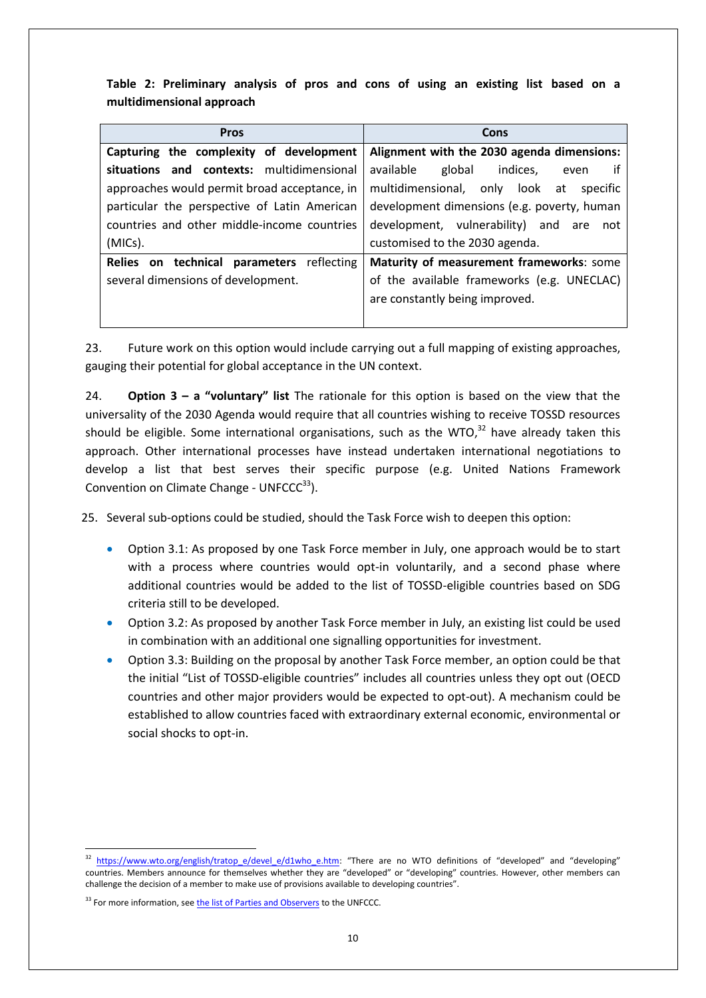**Table 2: Preliminary analysis of pros and cons of using an existing list based on a multidimensional approach**

| <b>Pros</b>                                  | Cons                                          |
|----------------------------------------------|-----------------------------------------------|
| Capturing the complexity of development      | Alignment with the 2030 agenda dimensions:    |
| situations and contexts: multidimensional    | available<br>if<br>global<br>indices.<br>even |
| approaches would permit broad acceptance, in | multidimensional, only look at<br>specific    |
| particular the perspective of Latin American | development dimensions (e.g. poverty, human   |
| countries and other middle-income countries  | development, vulnerability) and are<br>not    |
| (MICs).                                      | customised to the 2030 agenda.                |
| Relies on technical parameters reflecting    | Maturity of measurement frameworks: some      |
| several dimensions of development.           | of the available frameworks (e.g. UNECLAC)    |
|                                              | are constantly being improved.                |
|                                              |                                               |

23. Future work on this option would include carrying out a full mapping of existing approaches, gauging their potential for global acceptance in the UN context.

24. **Option 3 – a "voluntary" list** The rationale for this option is based on the view that the universality of the 2030 Agenda would require that all countries wishing to receive TOSSD resources should be eligible. Some international organisations, such as the WTO,<sup>32</sup> have already taken this approach. Other international processes have instead undertaken international negotiations to develop a list that best serves their specific purpose (e.g. United Nations Framework Convention on Climate Change -  $UNFCCC<sup>33</sup>)$ .

25. Several sub-options could be studied, should the Task Force wish to deepen this option:

- Option 3.1: As proposed by one Task Force member in July, one approach would be to start with a process where countries would opt-in voluntarily, and a second phase where additional countries would be added to the list of TOSSD-eligible countries based on SDG criteria still to be developed.
- Option 3.2: As proposed by another Task Force member in July, an existing list could be used in combination with an additional one signalling opportunities for investment.
- Option 3.3: Building on the proposal by another Task Force member, an option could be that the initial "List of TOSSD-eligible countries" includes all countries unless they opt out (OECD countries and other major providers would be expected to opt-out). A mechanism could be established to allow countries faced with extraordinary external economic, environmental or social shocks to opt-in.

[https://www.wto.org/english/tratop\\_e/devel\\_e/d1who\\_e.htm](https://www.wto.org/english/tratop_e/devel_e/d1who_e.htm): "There are no WTO definitions of "developed" and "developing" countries. Members announce for themselves whether they are "developed" or "developing" countries. However, other members can challenge the decision of a member to make use of provisions available to developing countries".

<sup>&</sup>lt;sup>33</sup> For more information, see [the list of Parties and Observers](http://unfccc.int/parties_and_observers/items/2704.php) to the UNFCCC.